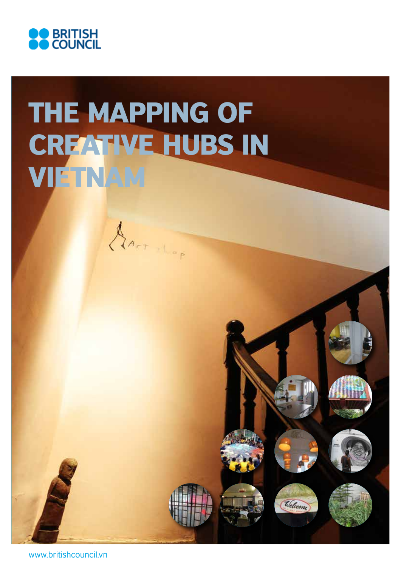

## THE MAPPING OF CREATIVE HUBS IN VIETNAM

APT LOP

Velcome

www.britishcouncil.vn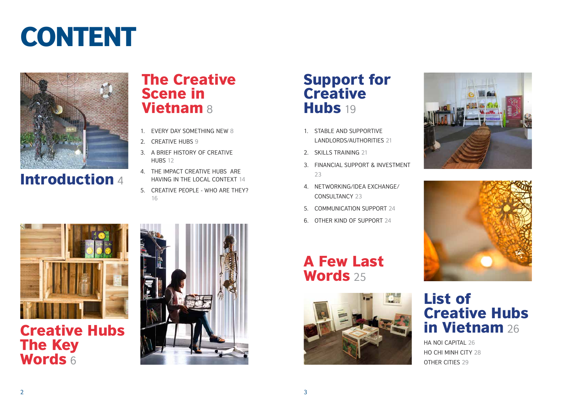# **CONTENT**



Introduction 4

- 1. Stable and supportive landlords/authorities 21
- 2. SKILLS TRAINING 21
- 3. Financial support & Investment 23
- 4. Networking/Idea exchange/ Consultancy 23
- 5. Communication support 24
- 6. Other kind of support 24

### The Creative Scene in **Vietnam 8**



Creative Hubs The Key Words 6



- 1. EVERY DAY SOMETHING NEW 8
- 2. CREATIVE HUBS 9
- 3. A Brief History of Creative HUBS 12
- 4. The impact creative hubs are having in the local context 14
- 5. Creative people who are they? 16

### Support for Creative Hubs 19

A Few Last Words 25







### List of Creative Hubs in Vietnam 26

HA NOI CAPITAL 26 ho chi minh city 28 OTHER CITIES 29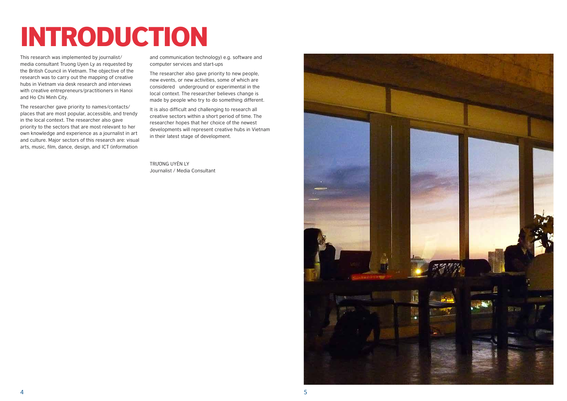

# INTRODUCTION

This research was implemented by journalist/ media consultant Truong Uyen Ly as requested by the British Council in Vietnam. The objective of the research was to carry out the mapping of creative hubs in Vietnam via desk research and interviews with creative entrepreneurs/practitioners in Hanoi and Ho Chi Minh City.

The researcher gave priority to names/contacts/ places that are most popular, accessible, and trendy in the local context. The researcher also gave priority to the sectors that are most relevant to her own knowledge and experience as a journalist in art and culture. Major sectors of this research are: visual arts, music, film, dance, design, and ICT (information

and communication technology) e.g. software and computer services and start-ups

The researcher also gave priority to new people, new events, or new activities, some of which are considered underground or experimental in the local context. The researcher believes change is made by people who try to do something different.

It is also difficult and challenging to research all creative sectors within a short period of time. The researcher hopes that her choice of the newest developments will represent creative hubs in Vietnam in their latest stage of development.

Trương Uyên Ly Journalist / Media Consultant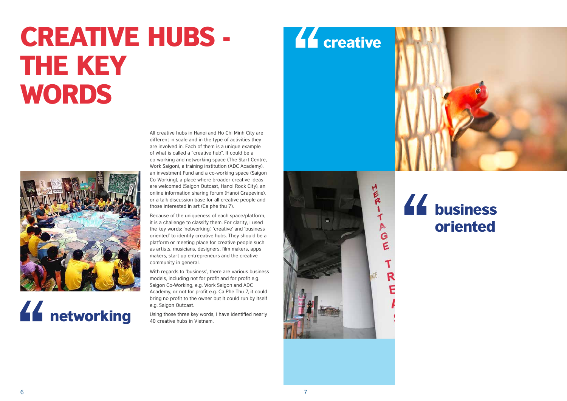## CREATIVE HUBS - THE KEY WORDS



## **44** networking

### **44** business oriented

All creative hubs in Hanoi and Ho Chi Minh City are different in scale and in the type of activities they are involved in. Each of them is a unique example of what is called a "creative hub". It could be a co-working and networking space (The Start Centre, Work Saigon), a training institution (ADC Academy), an investment Fund and a co-working space (Saigon Co-Working), a place where broader creative ideas are welcomed (Saigon Outcast, Hanoi Rock City), an online information sharing forum (Hanoi Grapevine), or a talk-discussion base for all creative people and those interested in art (Ca phe thu 7).

Because of the uniqueness of each space/platform, it is a challenge to classify them. For clarity, I used the key words: 'networking', 'creative' and 'business oriented' to identify creative hubs. They should be a platform or meeting place for creative people such as artists, musicians, designers, film makers, apps makers, start-up entrepreneurs and the creative community in general.

With regards to 'business', there are various business models, including not for profit and for profit e.g. Saigon Co-Working, e.g. Work Saigon and ADC Academy, or not for profit e.g. Ca Phe Thu 7, it could bring no profit to the owner but it could run by itself e.g. Saigon Outcast.

Using those three key words, I have identified nearly 40 creative hubs in Vietnam.

## **LE** creative



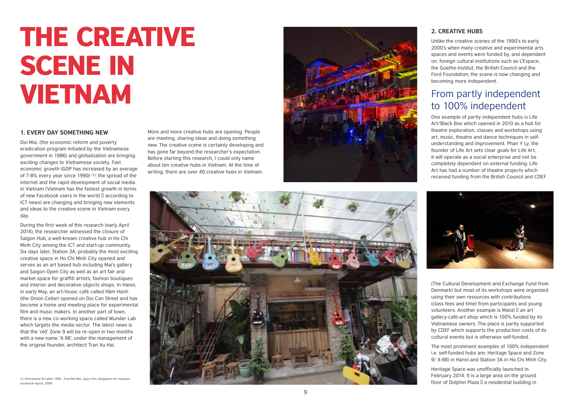#### **2. Creative hubs**

### From partly independent to 100% independent

Unlike the creative scenes of the 1990's to early 2000's when many creative and experimental arts spaces and events were funded by, and dependent on, foreign cultural institutions such as L' Espace, the Goethe-Institut, the British Council and the Ford Foundation; the scene is now changing and becoming more independent.

One example of partly independent hubs is Life Art/ Black Box which opened in 2010 as a hub for theatre exploration, classes and workshops using art, music, theatre and dance techniques in selfunderstanding and improvement. Phan Y Ly, the founder of Life Art sets clear goals for Life Art, it will operate as a social enterprise and not be completely dependent on external funding. Life Art has had a number of theatre projects which received funding from the British Council and CDEF



Heritage Space was unofficially launched in February 2014. It is a large area on the ground

( The Cultural Development and Exchange Fund from Denmark) but most of its workshops were organized using their own resources with contributions (class fees and time) from participants and young volunteers. Another example is Manzi  $\mathbb I$  an art gallery-café-art shop which is 100% funded by its Vietnamese owners. The place is partly supported by CDEF which supports the production costs of its

cultural events but is otherwise self-funded. The most prominent examples of 100% independent i.e. self-funded hubs are: Heritage Space and Zone 9/ X-98) in Hanoi and Station 3 A in Ho Chi Minh City.



## THE CREATIVE **SCENE IN** Vietnam

#### 1. **EVERY DAY SOMETHING NEW**

Doi Moi, (the economic reform and poverty eradication program initiated by the Vietnamese government in 1986) and globalization are bringing exciting changes to Vietnamese society. Fast economic growth (GDP has increased by an average of 7-8% every year since 1990) (1); the spread of the internet and the rapid development of social media in Vietnam (Vietnam has the fastest growth in terms of new Facebook users in the world  $\Box$  according to ICT news) are changing and bringing new elements and ideas to the creative scene in Vietnam every day.

During the first week of this research (early April 2014), the researcher witnessed the closure of Saigon Hub, a well-known creative hub in Ho Chi Minh City among the ICT and start-up community. Six days later, Station 3 A, probably the most exciting creative space in Ho Chi Minh City opened and serves as an art based hub including Mai's gallery and Saigon Open City as well as an art fair and market space for graffiti artists, fashion boutiques and interior and decorative objects shops. In Hanoi, in early May, an art/music café called Hầm Hành (the Onion Cellar) opened on Doi Can Street and has become a home and meeting place for experimental film and music makers. In another part of town, there is a new co-working space called Wunder Lab which targets the media sector. The latest news is that the 'old' Zone 9 will be re-open in two months with a new name ' X-98', under the management of the original founder, architect Tran Vu Hai.

More and more creative hubs are opening. People are meeting, sharing ideas and doing something new. The creative scene is certainly developing and has gone far beyond the researcher's expectation. Before starting this research, I could only name about ten creative hubs in Vietnam. At the time of writing, there are over 40 creative hubs in Vietnam.

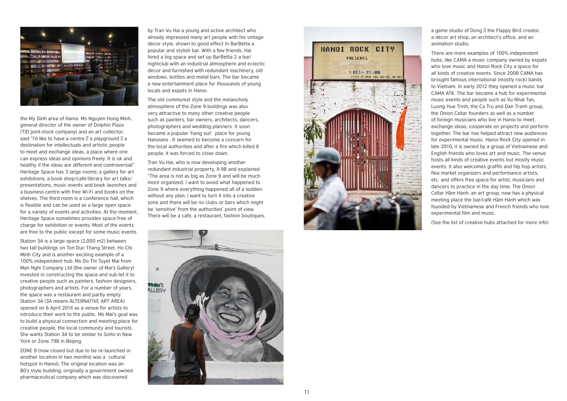

the My Dinh area of Hanoi. Ms Nguyen Hong Minh, general director of the owner of Dolphin Plaza (TID joint-stock company) and an art collector, said "I'd like to have a centre  $\Box$  a playground  $\Box$  a destination for intellectuals and artistic people to meet and exchange ideas, a place where one can express ideas and opinions freely. It is ok and healthy if the ideas are different and controversial". Heritage Space has 3 large rooms; a gallery for art exhibitions, a book shop/café/library for art talks/ presentations, music events and book launches and a business centre with free Wi-Fi and books on the shelves. The third room is a conference hall, which is flexible and can be used as a large open space for a variety of events and activities. At the moment, Heritage Space sometimes provides space free of charge for exhibition or events. Most of the events are free to the public except for some music events.

Station 3 A is a large space (2,000 m2) between two tall buildings on Ton Duc Thang Street, Ho Chi Minh City and is another exciting example of a 100% independent hub. Ms Do Thi Tuyet Mai from Man Nghi Company Ltd (the owner of Mai's Gallery) invested in constructing the space and sub-let it to creative people such as painters, fashion designers, photographers and artists. For a number of years, the space was a restaurant and partly empty. Station 3 A (3 A means ALTERNATIVE ART AREA) opened on 6 April 2014 as a venue for artists to introduce their work to the public. Ms Mai's goal was to build a physical connection and meeting place for creative people, the local community and tourists. She wants Station 3 A to be similar to So Ho in New York or Zone 798 in Beijing.

a game studio of Dong  $\Box$  the Flappy Bird creator, a décor art shop, an architect's office, and an animation studio. There are more examples of 100% independent

ZONE 9 (now closed but due to be re-launched in another location in two months) was a cultural hotspot in Hanoi]. The original location was an 80's style building, originally a government owned pharmaceutical company which was discovered

by Tran Vu Hai a young and active architect who already impressed many art people with his vintage decor style, shown to good effect In Bar Betta a popular and stylish bar. With a few friends, Hai hired a big space and set up Bar Betta 2 a bar/ nightclub with an industrial atmosphere and eclectic décor and furnished with redundant machinery, old windows, bottles and metal bars. The bar became a new entertainment place for thousands of young locals and expats in Hanoi.

The old communist style and the melancholy atmosphere of the Zone 9 buildings was also very attractive to many other creative people such as painters, bar owners, architects, dancers, photographers and wedding planners. It soon became a popular 'hang out' place for young Hanoians . It seemed to become a concern for the local authorities and after a fire which killed 6 people, it was forced to close down. Tran Vu Hai, who is now developing another

redundant industrial property, X-98 and explained " The area is not as big as Zone 9 and will be much more organized. I want to avoid what happened to Zone 9 where everything happened all of a sudden without any plan, I want to turn it into a creative zone and there will be no clubs or bars which might be 'sensitive' from the authorities' point of view. There will be a café, a restaurant, fashion boutiques,





hubs, like CAMA a music company owned by expats who love music and Hanoi Rock City a space for all kinds of creative events. Since 2008 CAMA has brought famous international (mostly rock) bands to Vietnam. In early 2012 they opened a music bar CAMA ATK. The bar became a hub for experimental music events and people such as Vu Nhat Tan, Luong Hue Trinh, the Ca Tru and Dan Tranh group, the Onion Cellar founders as well as a number of foreign musicians who live in Hanoi to meet, exchange ideas, cooperate on projects and perform together. The bar has helped attract new audiences for experimental music. Hanoi Rock City opened in late 2010, it is owned by a group of Vietnamese and English friends who loves art and music. The venue hosts all kinds of creative events but mostly music events. It also welcomes graffiti and hip hop artists, flea market organizers and performance artists, etc. and offers free space for artist, musicians and dancers to practice in the day time. The Onion Cellar Hầm Hành, an art group, now has a physical meeting place the bar/café Hầm Hành which was founded by Vietnamese and French friends who love experimental film and music.

(See the list of creative hubs attached for more info)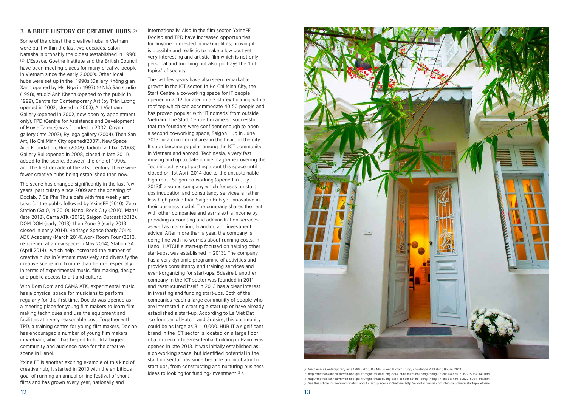#### **3. A Brief History of Creative Hubs** (2)

Some of the oldest the creative hubs in Vietnam were built within the last two decades. Salon Natasha is probably the oldest (established in 1990) (3). L'Espace, Goethe Institute and the British Council have been meeting places for many creative people in Vietnam since the early 2,000's. Other local hubs were set up in the 1990s (Gallery Không gian Xanh opened by Ms. Nga in 1997) (4) Nhà Sàn studio (1998), studio Anh Khánh (opened to the public in 1999), Centre for Contemporary Art (by Trần Lương opened in 2002, closed in 2003), Art Vietnam Gallery (opened in 2002, now open by appointment only), TPD (Centre for Assistance and Development of Movie Talents) was founded in 2002, Quỳnh gallery (late 2003), Ryllega gallery (2004), Then San Art, Ho Chi Minh City opened(2007), New Space Arts Foundation, Hue (2008), Tadioto art bar (2008), Gallery Bui (opened in 2008, closed in late 2011), added to the scene. Between the end of 1990s, and the first decade of the 21st century, there were fewer creative hubs being established than now.

The scene has changed significantly in the last few years, particularly since 2009 and the opening of Doclab, 7 Ca Phe Thu a café with free weekly art talks for the public followed by YxineFF (2010), Zero Station (Ga 0, in 2010), Hanoi Rock City (2010), Manzi (late 2012), Cama ATK (2012), Saigon Outcast (2012), DOM DOM (early 2013), then Zone 9 (early 2013, closed in early 2014), Heritage Space (early 2014), ADC Academy (March 2014),Work Room Four (2013, re-opened at a new space in May 2014), Station 3A (April 2014), which help increased the number of creative hubs in Vietnam massively and diversify the creative scene much more than before, especially in terms of experimental music, film making, design and public access to art and culture.

With Dom Dom and CAMA ATK, experimental music has a physical space for musicians to perform regularly for the first time. Doclab was opened as a meeting place for young film makers to learn film making techniques and use the equipment and facilities at a very reasonable cost. Together with TPD, a training centre for young film makers, Doclab has encouraged a number of young film makers in Vietnam, which has helped to build a bigger community and audience base for the creative scene in Hanoi.

Yxine FF is another exciting example of this kind of creative hub, It started in 2010 with the ambitious goal of running an annual online festival of short films and has grown every year, nationally and

internationally. Also In the film sector, YxineFF, Doclab and TPD have increased opportunities for anyone interested in making films; proving it is possible and realistic to make a low cost yet very interesting and artistic film which is not only personal and touching but also portrays the 'hot topics' of society.

e the Magnetic Schemporary Arts 1990 - 2010, Bui Nhu Huong I Pham Trung, Knowledge Publishing House, 2012 المادي (2) Vietnamese Contemporary Arts 1990 - 2010, Bui Nhu Huong I Pham Trung, Knowledge Publishing House, 2012<br>M (4) http://thethaovanhoa.vn/van-hoa-giai-tri/nghe-thuat-duong-dai-viet-nam-ket-noi-cong-thong-tin-chau-a-n20130627150841141.htm (5) See this article for more information about start-up scene in Vietnam: http://www.techinasia.com/nhip-cau-dau-tu-startup-vietnam/

The last few years have also seen remarkable growth in the ICT sector. In Ho Chi Minh City, the Start Centre a co-working space for IT people opened in 2012, located in a 3-storey building with a roof top which can accommodate 40-50 people and has proved popular with 'IT nomads' from outside Vietnam. The Start Centre became so successful that the founders were confident enough to open a second co-working space, Saigon Hub in June 2013 in a commercial area in the heart of the city. It soon became popular among the ICT community in Vietnam and abroad. TechinAsia, a very fast moving and up to date online magazine covering the Tech industry kept posting about this space until it closed on 1st April 2014 due to the unsustainable high rent. Saigon co-working (opened in July  $2013$  a young company which focuses on startups incubation and consultancy services is rather less high profile than Saigon Hub yet innovative in their business model. The company shares the rent with other companies and earns extra income by providing accounting and administration services as well as marketing, branding and investment advice. After more than a year, the company is doing fine with no worries about running costs. In Hanoi, HATCH! a start-up focused on helping other start-ups, was established in 2013). The company has a very dynamic programme of activities and provides consultancy and training services and event-organizing for start-ups. 5desire  $\mathbb I$  another company in the ICT sector was founded in 2011 and restructured itself in 2013 has a clear interest in investing and funding start-ups. Both of the companies reach a large community of people who are interested in creating a start-up or have already established a start-up. According to Le Viet Dat -co-founder of Hatch! and 5desire, this community could be as large as 8 - 10,000. HUB IT a significant brand in the ICT sector is located on a large floor of a modern office/residential building in Hanoi was opened in late 2013. It was initially established as a co-working space, but identified potential in the start-up sector has since become an incubator for start-ups, from constructing and nurturing business

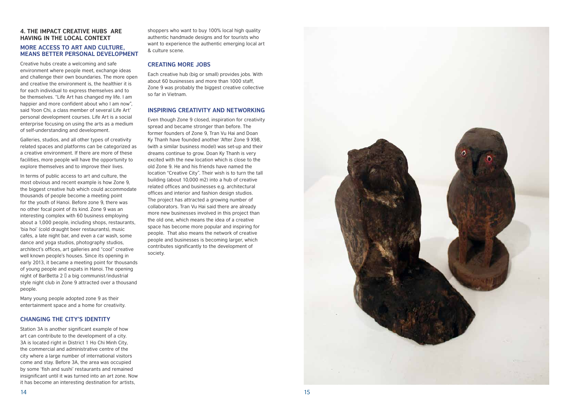

#### **4. The impact creative hubs are having in the local context More access to art and culture, means better personal development**

Creative hubs create a welcoming and safe environment where people meet, exchange ideas and challenge their own boundaries. The more open and creative the environment is, the healthier it is for each individual to express themselves and to be themselves. "Life Art has changed my life. I am happier and more confident about who I am now", said Yoon Chi, a class member of several Life Art' personal development courses. Life Art is a social enterprise focusing on using the arts as a medium of self-understanding and development.

Galleries, studios, and all other types of creativity related spaces and platforms can be categorized as a creative environment. If there are more of these facilities, more people will have the opportunity to explore themselves and to improve their lives.

shoppers who want to buy 100% local high quality authentic handmade designs and for tourists who want to experience the authentic emerging local art & culture scene.

In terms of public access to art and culture, the most obvious and recent example is how Zone 9, the biggest creative hub which could accommodate thousands of people become a meeting point for the youth of Hanoi. Before zone 9, there was no other focal point of its kind. Zone 9 was an interesting complex with 60 business employing about a 1,000 people, including shops, restaurants, 'bia hoi' (cold draught beer restaurants), music cafés, a late night bar, and even a car wash, some dance and yoga studios, photography studios, architect's offices, art galleries and "cool" creative well known people's houses. Since its opening in early 2013, it became a meeting point for thousands of young people and expats in Hanoi. The opening night of BarBetta 2  $\Box$  a big communist/industrial style night club in Zone 9 attracted over a thousand people.

Many young people adopted zone 9 as their entertainment space and a home for creativity.

#### **Changing the city's identity**

Station 3A is another significant example of how art can contribute to the development of a city. 3A is located right in District 1 Ho Chi Minh City, the commercial and administrative centre of the city where a large number of international visitors come and stay. Before 3A, the area was occupied by some 'fish and sushi' restaurants and remained insignificant until it was turned into an art zone. Now it has become an interesting destination for artists,

#### **Creating more jobs**

Each creative hub (big or small) provides jobs. With about 60 businesses and more than 1000 staff, Zone 9 was probably the biggest creative collective so far in Vietnam.

#### **Inspiring creativity and networking**

Even though Zone 9 closed, inspiration for creativity spread and became stronger than before. The former founders of Zone 9, Tran Vu Hai and Doan Ky Thanh have founded another 'After Zone 9 X98, (with a similar business model) was set-up and their dreams continue to grow. Doan Ky Thanh is very excited with the new location which is close to the old Zone 9. He and his friends have named the location "Creative City". Their wish is to turn the tall building (about 10,000 m2) into a hub of creative related offices and businesses e.g. architectural offices and interior and fashion design studios. The project has attracted a growing number of collaborators. Tran Vu Hai said there are already more new businesses involved in this project than the old one, which means the idea of a creative space has become more popular and inspiring for people. That also means the network of creative people and businesses is becoming larger, which contributes significantly to the development of society.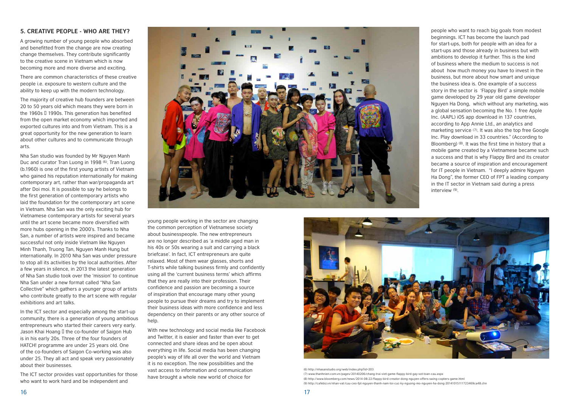#### **5. Creative people - who are they?**

A growing number of young people who absorbed and benefitted from the change are now creating change themselves. They contribute significantly to the creative scene in Vietnam which is now becoming more and more diverse and exciting.

There are common characteristics of these creative people i.e. exposure to western culture and the ability to keep up with the modern technology.

The majority of creative hub founders are between 20 to 50 years old which means they were born in the 1960s  $\Box$  1990s. This generation has benefited from the open market economy which imported and exported cultures into and from Vietnam. This is a great opportunity for the new generation to learn about other cultures and to communicate through arts.

Nha San studio was founded by Mr Nguyen Manh Duc and curator Tran Luong in 1998 (6). Tran Luong (b.1960) is one of the first young artists of Vietnam who gained his reputation internationally for making contemporary art, rather than war/propaganda art after Doi moi. It is possible to say he belongs to the first generation of contemporary artists who laid the foundation for the contemporary art scene in Vietnam. Nha San was the only exciting hub for Vietnamese contemporary artists for several years until the art scene became more diversified with more hubs opening in the 2000's. Thanks to Nha San, a number of artists were inspired and became successful not only inside Vietnam like Nguyen Minh Thanh, Truong Tan, Nguyen Manh Hung but internationally. In 2010 Nha San was under pressure to stop all its activities by the local authorities. After a few years in silence, in 2013 the latest generation of Nha San studio took over the 'mission' to continue Nha San under a new format called "Nha San Collective" which gathers a younger group of artists who contribute greatly to the art scene with regular exhibitions and art talks.

In the ICT sector and especially among the start-up community, there is a generation of young ambitious entrepreneurs who started their careers very early. Jason Khai Hoang  $\Box$  the co-founder of Saigon Hub is in his early 20s. Three of the four founders of HATCH! programme are under 25 years old. One of the co-founders of Saigon Co-working was also under 25. They all act and speak very passionately about their businesses.

The ICT sector provides vast opportunities for those who want to work hard and be independent and



young people working in the sector are changing the common perception of Vietnamese society about businesspeople. The new entrepreneurs are no longer described as 'a middle aged man in his 40s or 50s wearing a suit and carrying a black briefcase'. In fact, ICT entrepreneurs are quite relaxed. Most of them wear glasses, shorts and T-shirts while talking business firmly and confidently using all the 'current business terms' which affirms that they are really into their profession. Their confidence and passion are becoming a source of inspiration that encourage many other young people to pursue their dreams and try to implement their business ideas with more confidence and less dependency on their parents or any other source of help.

With new technology and social media like Facebook and Twitter, it is easier and faster than ever to get connected and share ideas and be open about everything in life. Social media has been changing people's way of life all over the world and Vietnam it is no exception. The new possibilities and the vast access to information and communication have brought a whole new world of choice for



people who want to reach big goals from modest beginnings. ICT has become the launch pad for start-ups, both for people with an idea for a start-ups and those already in business but with ambitions to develop it further. This is the kind of business where the medium to success is not about how much money you have to invest in the business, but more about how smart and unique the business idea is. One example of a success story in the sector is 'Flappy Bird' a simple mobile game developed by 29 year old game developer Nguyen Ha Dong, which without any marketing, was a global sensation becoming the No. 1 free Apple Inc. (AAPL) iOS app download in 137 countries, according to App Annie Ltd., an analytics and marketing service (7). It was also the top free Google Inc. Play download in 33 countries." (According to Bloomberg) (8). It was the first time in history that a mobile game created by a Vietnamese became such a success and that is why Flappy Bird and its creator became a source of inspiration and encouragement for IT people in Vietnam. "I deeply admire Nguyen Ha Dong", the former CEO of FPT a leading company in the IT sector in Vietnam said during a press interview (9).

(6) http://nhasanstudio.org/web/index.php?id=203 (7) www.thanhnien.com.vn/pages/20140206/chang-trai-viet-game-flappy-bird-gay-sot-toan-cau.aspx (8) http://www.bloomberg.com/news/2014-08-22/flappy-bird-creator-dong-nguyen-offers-swing-copters-game.html (9) http://cafebiz.vn/nhan-vat/cuu-ceo-fpt-nguyen-thanh-nam-toi-cuc-ky-nguong-mo-nguyen-ha-dong-20141015111723469ca48.chn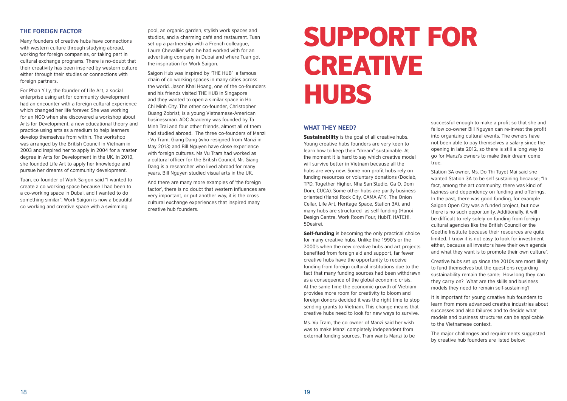

#### **The foreign factor**

Many founders of creative hubs have connections with western culture through studying abroad, working for foreign companies, or taking part in cultural exchange programs. There is no-doubt that their creativity has been inspired by western culture either through their studies or connections with foreign partners.

For Phan Y Ly, the founder of Life Art, a social enterprise using art for community development had an encounter with a foreign cultural experience which changed her life forever. She was working for an NGO when she discovered a workshop about Arts for Development, a new educational theory and practice using arts as a medium to help learners develop themselves from within. The workshop was arranged by the British Council in Vietnam in 2003 and inspired her to apply in 2004 for a master degree in Arts for Development in the UK. In 2010, she founded Life Art to apply her knowledge and pursue her dreams of community development.

Tuan, co-founder of Work Saigon said "I wanted to create a co-working space because I had been to a co-working space in Dubai, and I wanted to do something similar". Work Saigon is now a beautiful co-working and creative space with a swimming

## SUPPORT for CREATIVE **HUBS**

pool, an organic garden, stylish work spaces and studios, and a charming café and restaurant. Tuan set up a partnership with a French colleague, Laure Chevallier who he had worked with for an advertising company in Dubai and where Tuan got the inspiration for Work Saigon.

> **Sustainability** is the goal of all creative hubs. Young creative hubs founders are very keen to learn how to keep their "dream" sustainable. At the moment it is hard to say which creative model will survive better in Vietnam because all the hubs are very new. Some non-profit hubs rely on funding resources or voluntary donations (Doclab, TPD, Together Higher, Nha San Studio, Ga O, Dom Dom, CUCA). Some other hubs are partly business oriented (Hanoi Rock City, CAMA ATK, The Onion Cellar, Life Art, Heritage Space, Station 3A), and many hubs are structured as self-funding (Hanoi Design Centre, Work Room Four, HubIT, HATCH!, 5Desire).

Saigon Hub was inspired by 'THE HUB' a famous chain of co-working spaces in many cities across the world. Jason Khai Hoang, one of the co-founders and his friends visited THE HUB in Singapore and they wanted to open a similar space in Ho Chi Minh City. The other co-founder, Christopher Quang Zobrist, is a young Vietnamese-American businessman. ADC Academy was founded by Ta Minh Trai and four other friends, almost all of them had studied abroad. The three co-founders of Manzi : Vu Tram, Giang Dang (who resigned from Manzi in May 2013) and Bill Nguyen have close experience with foreign cultures. Ms Vu Tram had worked as a cultural officer for the British Council, Mr. Giang Dang is a researcher who lived abroad for many years. Bill Nguyen studied visual arts in the UK.

> **Self-funding** is becoming the only practical choice for many creative hubs. Unlike the 1990's or the 2000's when the new creative hubs and art projects benefited from foreign aid and support, far fewer creative hubs have the opportunity to receive funding from foreign cultural institutions due to the fact that many funding sources had been withdrawn as a consequence of the global economic crisis. At the same time the economic growth of Vietnam provides more room for creativity to bloom and foreign donors decided it was the right time to stop sending grants to Vietnam. This change means that creative hubs need to look for new ways to survive.

And there are many more examples of 'the foreign factor', there is no doubt that western influences are very important, or put another way, it is the crosscultural exchange experiences that inspired many creative hub founders.

#### **What they need?**

Ms. Vu Tram, the co-owner of Manzi said her wish was to make Manzi completely independent from external funding sources. Tram wants Manzi to be successful enough to make a profit so that she and fellow co-owner Bill Nguyen can re-invest the profit into organizing cultural events. The owners have not been able to pay themselves a salary since the opening in late 2012, so there is still a long way to go for Manzi's owners to make their dream come true.

Station 3A owner, Ms. Do Thi Tuyet Mai said she wanted Station 3A to be self-sustaining because; "In fact, among the art community, there was kind of laziness and dependency on funding and offerings. In the past, there was good funding, for example Saigon Open City was a funded project, but now there is no such opportunity. Additionally, it will be difficult to rely solely on funding from foreign cultural agencies like the British Council or the Goethe Institute because their resources are quite limited. I know it is not easy to look for investment either, because all investors have their own agenda and what they want is to promote their own culture".

Creative hubs set up since the 2010s are most likely to fund themselves but the questions regarding sustainability remain the same; How long they can they carry on? What are the skills and business models they need to remain self-sustaining?

It is important for young creative hub founders to learn from more advanced creative industries about successes and also failures and to decide what models and business structures can be applicable to the Vietnamese context.

The major challenges and requirements suggested by creative hub founders are listed below: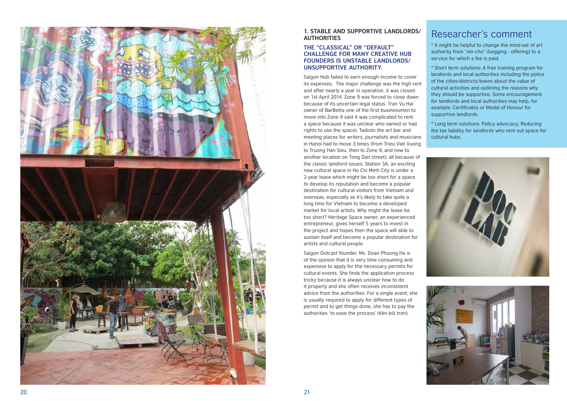

#### **1. STABLE AND SUPPORTIVE LANDLORDS/ authorities**

#### **The "classical" or " default" CHALLENGE FOR MANY CREATIVE HUB FOUNDERS IS UNSTABLE LANDLORDS/ unsupportive authority.**

Saigon Hub failed to earn enough income to cover its expenses. The major challenge was the high rent and after nearly a year in operation, it was closed on 1st April 2014. Zone 9 was forced to close down because of its uncertain legal status. Tran Vu Hai owner of Bar Betta one of the first businessmen to move into Zone 9 said it was complicated to rent a space because it was unclear who owned or had rights to use the space). Tadioto the art bar and meeting places for writers, journalists and musicians in Hanoi had to move 3 times (from Trieu Viet Vuong to Truong Han Sieu, then to Zone 9, and now to another location on Tong Dan street), all because of the classic landlord issues. Station 3 A, an exciting new cultural space in Ho Chi Minh City is under a 2-year lease which might be too short for a space to develop its reputation and become a popular destination for cultural visitors from Vietnam and overseas, especially as it's likely to take quite a long time for Vietnam to become a developed market for local artists. Why might the lease be too short? Heritage Space owner, an experienced entrepreneur, gives herself 5 years to invest in the project and hopes then the space will able to sustain itself and become a popular destination for artists and cultural people.

Saigon Outcast founder, Ms. Doan Phuong Ha is of the opinion that it is very time consuming and expensive to apply for the necessary permits for cultural events. She finds the application process tricky because it is always unclear how to do it properly and she often receives inconsistent advice from the authorities. For a single event, she is usually required to apply for different types of permit and to get things done, she has to pay the authorities 'to ease the process' (tiền bôi trơn).

#### Researcher's comment

\* It might be helpful to change the mind-set of art authority from "xin-cho" (begging - offering) to a service for which a fee is paid.

\* Short term solutions: A free training program for landlords and local authorities including the police of the cities/districts/towns about the value of cultural activities and outlining the reasons why they should be supportive. Some encouragement for landlords and local authorities may help, for example: Certificates or Medal of Honour for supportive landlords.

\* Long term solutions: Policy advocacy; Reducing the tax liability for landlords who rent out space for cultural hubs.



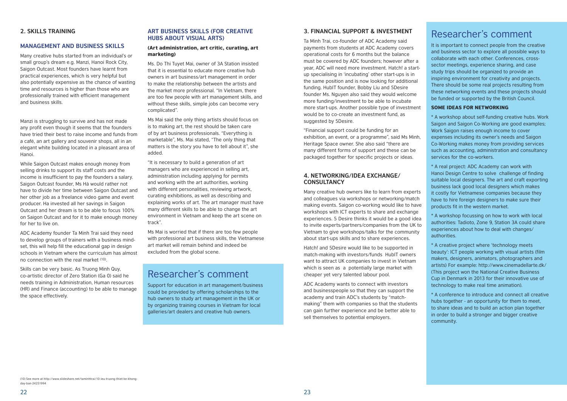#### **2. Skills training**

#### **Management and business skills**

Many creative hubs started from an individual's or small group's dream e.g. Manzi, Hanoi Rock City, Saigon Outcast. Most founders have learnt from practical experiences, which is very helpful but also potentially expensive as the chance of wasting time and resources is higher than those who are professionally trained with efficient management and business skills.

Manzi is struggling to survive and has not made any profit even though it seems that the founders have tried their best to raise income and funds from a café, an art gallery and souvenir shops, all in an elegant white building located in a pleasant area of Hanoi.

While Saigon Outcast makes enough money from selling drinks to support its staff costs and the income is insufficient to pay the founders a salary. Saigon Outcast founder, Ms Hà would rather not have to divide her time between Saigon Outcast and her other job as a freelance video game and event producer. Ha invested all her savings in Saigon Outcast and her dream is to be able to focus 100% on Saigon Outcast and for it to make enough money for her to live on.

ADC Academy founder Ta Minh Trai said they need to develop groups of trainers with a business mindset, this will help fill the educational gap in design schools in Vietnam where the curriculum has almost no connection with the real market (10).

Skills can be very basic. As Truong Minh Quy, co-artistic director of Zero Station (Ga 0) said he needs training in Administration, Human resources (HR) and Finance (accounting) to be able to manage the space effectively.

#### **Art business skills (for creative hubs about visual arts)**

#### (Art administration, art critic, curating, art marketing)

Ms. Do Thi Tuyet Mai, owner of 3A Station insisted that it is essential to educate more creative hub owners in art business/art management in order to make the relationship between the artists and the market more professional. "In Vietnam, there are too few people with art management skills, and without these skills, simple jobs can become very complicated".

Ms Mai said the only thing artists should focus on is to making art, the rest should be taken care of by art business professionals. "Everything is marketable", Ms. Mai stated, "The only thing that matters is the story you have to tell about it", she added.

"It is necessary to build a generation of art managers who are experienced in selling art, administration including applying for permits and working with the art authorities, working with different personalities, reviewing artwork, curating exhibitions, as well as describing and explaining works of art. The art manager must have many different skills to be able to change the art environment in Vietnam and keep the art scene on track".

Ms Mai is worried that if there are too few people with professional art business skills, the Vietnamese art market will remain behind and indeed be excluded from the global scene.

#### Researcher's comment

Support for education in art management/business could be provided by offering scholarships to the hub owners to study art management in the UK or by organizing training courses in Vietnam for local galleries/art dealers and creative hub owners.

#### **3. Financial support & Investment**

Ta Minh Trai, co-founder of ADC Academy said payments from students at ADC Academy covers operational costs for 6 months but the balance must be covered by ADC founders; however after a year, ADC will need more investment. Hatch! a startup specialising in 'incubating' other start-ups is in the same position and is now looking for additional funding. HubIT founder, Bobby Liu and 5Desire founder Ms. Nguyen also said they would welcome more funding/investment to be able to incubate more start-ups. Another possible type of investment would be to co-create an investment fund, as suggested by 5Desire.

"Financial support could be funding for an exhibition, an event, or a programme", said Ms Minh, Heritage Space owner. She also said "there are many different forms of support and these can be packaged together for specific projects or ideas.

#### **4. Networking/Idea exchange/ Consultancy**

Many creative hub owners like to learn from experts and colleagues via workshops or networking/match making events. Saigon co-working would like to have workshops with ICT experts to share and exchange experiences. 5 Desire thinks it would be a good idea to invite experts/partners/companies from the UK to Vietnam to give workshops/talks for the community about start-ups skills and to share experiences.

Hatch! and 5Desire would like to be supported in match-making with investors/funds HubIT owners want to attract UK companies to invest in Vietnam which is seen as a potentially large market with cheaper yet very talented labour pool.

ADC Academy wants to connect with investors and businesspeople so that they can support the academy and train ADC's students by "matchmaking" them with companies so that the students can gain further experience and be better able to sell themselves to potential employers.

#### Researcher's comment

It is important to connect people from the creative and business sector to explore all possible ways to collaborate with each other. Conferences, crosssector meetings, experience sharing, and case study trips should be organized to provide an inspiring environment for creativity and projects. There should be some real projects resulting from these networking events and these projects should be funded or supported by the British Council.

#### Some ideas for networking

\* A workshop about self-funding creative hubs. Work Saigon and Saigon Co-Working are good examples; Work Saigon raises enough income to cover expenses including its owner's needs and Saigon Co-Working makes money from providing services such as accounting, administration and consultancy services for the co-workers.

\* A real project: ADC Academy can work with Hanoi Design Centre to solve challenge of finding suitable local designers. The art and craft exporting business lack good local designers which makes it costly for Vietnamese companies because they have to hire foreign designers to make sure their products fit in the western market.

\* A workshop focussing on how to work with local authorities: Tadioto, Zone 9, Station 3A could share experiences about how to deal with changes/ authorities.

\* A creative project where 'technology meets beauty': ICT people working with visual artists (film makers, designers, animators, photographers and artists) For example: http://www.cinemadellarte.dk/ (This project won the National Creative Business Cup in Denmark in 2013 for their innovative use of technology to make real time animation).

\* A conference to introduce and connect all creative hubs together - an opportunity for them to meet, to share ideas and to build an action plan together in order to build a stronger and bigger creative community.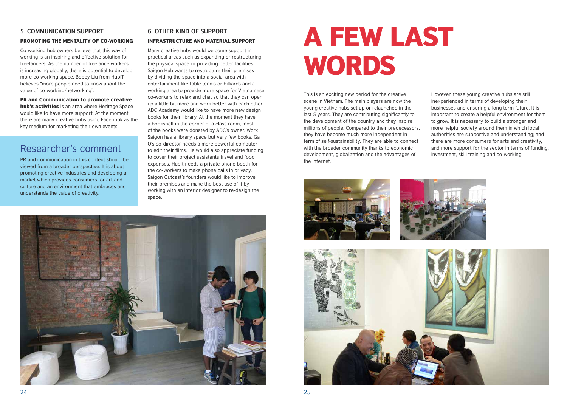#### **5. Communication support**

#### Promoting the mentality of co-working

Co-working hub owners believe that this way of working is an inspiring and effective solution for freelancers. As the number of freelance workers is increasing globally, there is potential to develop more co-working space. Bobby Liu from HubIT believes "more people need to know about the value of co-working/networking".

hub's activities is an area where Heritage Space would like to have more support. At the moment there are many creative hubs using Facebook as the key medium for marketing their own events.

#### PR and Communication to promote creative

### Researcher's comment

PR and communication in this context should be viewed from a broader perspective. It is about promoting creative industries and developing a market which provides consumers for art and culture and an environment that embraces and understands the value of creativity.

#### **6. Other kind of support**

#### Infrastructure and material support

Many creative hubs would welcome support in practical areas such as expanding or restructuring the physical space or providing better facilities. Saigon Hub wants to restructure their premises by dividing the space into a social area with entertainment like table tennis or billiards and a working area to provide more space for Vietnamese co-workers to relax and chat so that they can open up a little bit more and work better with each other. ADC Academy would like to have more new design books for their library. At the moment they have a bookshelf in the corner of a class room, most of the books were donated by ADC's owner. Work Saigon has a library space but very few books. Ga O's co-director needs a more powerful computer to edit their films. He would also appreciate funding to cover their project assistants travel and food expenses. HubIt needs a private phone booth for the co-workers to make phone calls in privacy. Saigon Outcast's founders would like to improve their premises and make the best use of it by working with an interior designer to re-design the space.



## A few last WORDS

This is an exciting new period for the creative scene in Vietnam. The main players are now the young creative hubs set up or relaunched in the last 5 years. They are contributing significantly to the development of the country and they inspire millions of people. Compared to their predecessors, they have become much more independent in term of self-sustainability. They are able to connect with the broader community thanks to economic development, globalization and the advantages of the internet.









However, these young creative hubs are still inexperienced in terms of developing their businesses and ensuring a long term future. It is important to create a helpful environment for them to grow. It is necessary to build a stronger and more helpful society around them in which local authorities are supportive and understanding; and there are more consumers for arts and creativity, and more support for the sector in terms of funding, investment, skill training and co-working.

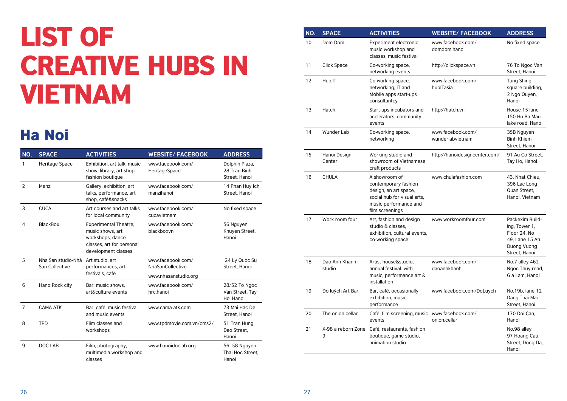## List of Creative Hubs in Vietnam

| NO.            | <b>SPACE</b>                         | <b>ACTIVITIES</b>                                                                                                        | <b>WEBSITE/ FACEBOOK</b>                                      | <b>ADDRESS</b>                                  |
|----------------|--------------------------------------|--------------------------------------------------------------------------------------------------------------------------|---------------------------------------------------------------|-------------------------------------------------|
| 1              | Heritage Space                       | Exhibition, art talk, music<br>show, library, art shop,<br>fashion boutique                                              | www.facebook.com/<br>HeritageSpace                            | Dolphin Plaza,<br>28 Tran Binh<br>Street, Hanoi |
| $\overline{2}$ | Manzi                                | Gallery, exhibition, art<br>talks, performance, art<br>shop, café&snacks                                                 | www.facebook.com/<br>manzihanoi                               | 14 Phan Huy Ich<br>Street, Hanoi                |
| 3              | <b>CUCA</b>                          | Art courses and art talks<br>for local community                                                                         | www.facebook.com/<br>cucavietnam                              | No fixed space                                  |
| 4              | <b>BlackBox</b>                      | <b>Experimental Theatre,</b><br>music shows, art<br>workshops, dance<br>classes, art for personal<br>development classes | www.facebook.com/<br>blackboxvn                               | 56 Nguyen<br>Khuyen Street,<br>Hanoi            |
| 5              | Nha San studio-Nhà<br>San Collective | Art studio, art<br>performances, art<br>festivals, café                                                                  | www.facebook.com/<br>NhaSanCollective<br>www.nhasanstudio.org | 24 Ly Quoc Su<br>Street, Hanoi                  |
| 6              | Hano Rock city                       | Bar, music shows,<br>art&culture events                                                                                  | www.facebook.com/<br>hrc.hanoi                                | 28/52 To Ngoc<br>Van Street, Tay<br>Ho, Hanoi   |
| 7              | <b>CAMA ATK</b>                      | Bar, café, music festival<br>and music events                                                                            | www.cama-atk.com                                              | 73 Mai Hac De<br>Street, Hanoi                  |
| 8              | <b>TPD</b>                           | Film classes and<br>workshops                                                                                            | www.tpdmovie.com.vn/cms2/                                     | 51 Tran Hung<br>Dao Street,<br>Hanoi            |
| 9              | <b>DOC LAB</b>                       | Film, photography,<br>multimedia workshop and<br>classes                                                                 | www.hanoidoclab.org                                           | 56 - 58 Nguyen<br>Thai Hoc Street,<br>Hanoi     |

### Ha Noi

| NO. | <b>SPACE</b>            | <b>ACTIVITIES</b>                                                                                                                         | <b>WEBSITE/FACEBOOK</b>               | <b>ADDRESS</b>                                                                                     |
|-----|-------------------------|-------------------------------------------------------------------------------------------------------------------------------------------|---------------------------------------|----------------------------------------------------------------------------------------------------|
| 10  | Dom Dom                 | <b>Experiment electronic</b><br>music workshop and<br>classes, music festival                                                             | www.facebook.com/<br>domdom.hanoi     | No fixed space                                                                                     |
| 11  | <b>Click Space</b>      | Co-working space,<br>networking events                                                                                                    | http://clickspace.vn                  | 76 To Ngoc Van<br>Street, Hanoi                                                                    |
| 12  | Hub.IT                  | Co working space,<br>networking, IT and<br>Mobile apps start-ups<br>consultantcy                                                          | www.facebook.com/<br>hublTasia        | <b>Tung Shing</b><br>square building,<br>2 Ngo Quyen,<br>Hanoi                                     |
| 13  | Hatch                   | Start-ups incubators and<br>acclerators, community<br>events                                                                              | http://hatch.vn                       | House 15 lane<br>150 Ho Ba Mau<br>lake road, Hanoi                                                 |
| 14  | Wunder Lab              | Co-working space,<br>networking                                                                                                           | www.facebook.com/<br>wunderlabvietnam | 35B Nguyen<br><b>Binh Khiem</b><br>Street, Hanoi                                                   |
| 15  | Hanoi Design<br>Center  | Working studio and<br>showroom of Vietnamese<br>craft products                                                                            | http://hanoidesigncenter.com/         | 91 Au Co Street,<br>Tay Ho, Hanoi                                                                  |
| 16  | <b>CHULA</b>            | A showroom of<br>contemporary fashion<br>design, an art space,<br>social hub for visual arts,<br>music performance and<br>film screenings | www.chulafashion.com                  | 43, Nhat Chieu,<br>396 Lac Long<br>Quan Street,<br>Hanoi, Vietnam                                  |
| 17  | Work room four          | Art, fashion and design<br>studio & classes,<br>exhibition, cultural events,<br>co-working space                                          | www.workroomfour.com                  | Packexim Build-<br>ing, Tower 1,<br>Floor 24, No<br>49, Lane 15 An<br>Duong Vuong<br>Street, Hanoi |
| 18  | Dao Anh Khanh<br>studio | Artist house&studio,<br>annual festival with<br>music, performance art &<br>installation                                                  | www.facebook.com/<br>daoanhkhanh      | No.7 alley 462<br>Ngoc Thuy road,<br>Gia Lam, Hanoi                                                |
| 19  | Đờ luých Art Bar        | Bar, café, occasionally<br>exhibition, music<br>performance                                                                               | www.facebook.com/DoLuych              | No.19b, lane 12<br>Dang Thai Mai<br>Street, Hanoi                                                  |
| 20  | The onion cellar        | Café, film screening, music<br>events                                                                                                     | www.facebook.com/<br>onion.cellar     | 170 Doi Can,<br>Hanoi                                                                              |
| 21  | X-98 a reborn Zone<br>9 | Café, restaurants, fashion<br>boutique, game studio,<br>animation studio                                                                  |                                       | No.98 alley<br>97 Hoang Cau<br>Street, Dong Da,<br>Hanoi                                           |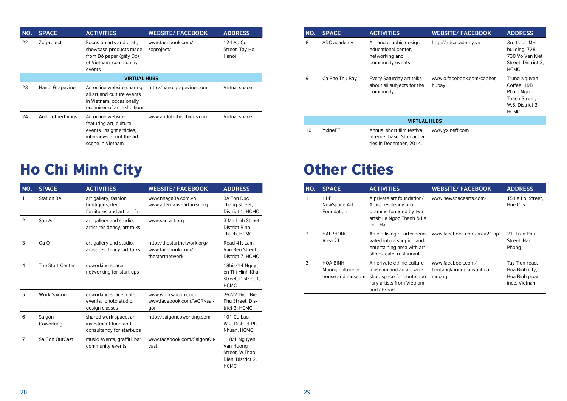| NO. | <b>SPACE</b>     | <b>ACTIVITIES</b>                                                                                                         | <b>WEBSITE/ FACEBOOK</b>        | <b>ADDRESS</b>                        |
|-----|------------------|---------------------------------------------------------------------------------------------------------------------------|---------------------------------|---------------------------------------|
| 22  | Zo project       | Focus on arts and craft,<br>showcase products made<br>from Dó paper (giấy Dó)<br>of Vietnam, communitiy<br>events         | www.facebook.com/<br>zoproject/ | 124 Au Co<br>Street, Tay Ho,<br>Hanoi |
|     |                  | <b>VIRTUAL HUBS</b>                                                                                                       |                                 |                                       |
| 23  | Hanoi Grapevine  | An online website sharing<br>all art and culture events<br>in Vietnam, occasionally<br>organiser of art exhbitions        | http://hanoigrapevine.com       | Virtual space                         |
| 24  | Andofotherthings | An online website<br>featuring art, culture<br>events, insight articles,<br>interviews about the art<br>scene in Vietnam. | www.andofotherthings.com        | Virtual space                         |

| NO.            | <b>SPACE</b>        | <b>ACTIVITIES</b>                                                         | <b>WEBSITE/ FACEBOOK</b>                                            | <b>ADDRESS</b>                                                                  |
|----------------|---------------------|---------------------------------------------------------------------------|---------------------------------------------------------------------|---------------------------------------------------------------------------------|
|                | <b>Station 3A</b>   | art gallery, fashion<br>boutiques, décor<br>furnitures and art, art fair  | www.nhaga3a.com.vn<br>www.alternativeartarea.org                    | 3A Ton Duc<br>Thang Street,<br>District 1, HCMC                                 |
| $\overline{2}$ | San Art             | art gallery and studio,<br>artist residency, art talks                    | www.san-art.org                                                     | 3 Me Linh Street,<br><b>District Binh</b><br>Thach, HCMC                        |
| 3              | Ga O                | art gallery and studio,<br>artist residency, art talks                    | http://thestartnetwork.org/<br>www.facebook.com/<br>thestartnetwork | Road 41, Lam<br>Van Ben Street,<br>District 7, HCMC                             |
| 4              | The Start Center    | coworking space,<br>networking for start-ups                              |                                                                     | 18bis/14 Nguy-<br>en Thi Minh Khai<br>Street, District 1,<br><b>HCMC</b>        |
| 5              | Work Saigon         | coworking space, café,<br>events, photo studio,<br>design classes         | www.worksaigon.com<br>www.facebook.com/WORKsai-<br>gon              | 267/2 Dien Bien<br>Phu Street, Dis-<br>trict 3, HCMC                            |
| 6              | Saigon<br>Coworking | shared work space, an<br>investment fund and<br>consultancy for start-ups | http://saigoncoworking.com                                          | 101 Cu Lao,<br>W.2, District Phu<br>Nhuan, HCMC                                 |
| 7              | SaiGon OutCast      | music events, graffiti, bar,<br>community events                          | www.facebook.com/SaigonOu-<br>cast                                  | 118/1 Nguyen<br>Van Huong<br>Street, W.Thao<br>Dien, District 2,<br><b>HCMC</b> |

| NO.           | <b>SPACE</b>                                             | <b>ACTIVITIES</b>                                                                                                           | <b>WEBSITE/ FACEBOOK</b>                             | <b>ADDRESS</b>                                                      |
|---------------|----------------------------------------------------------|-----------------------------------------------------------------------------------------------------------------------------|------------------------------------------------------|---------------------------------------------------------------------|
|               | <b>HUE</b><br>NewSpace Art<br>Foundation                 | A private art foundation/<br>Artist residency pro-<br>gramme founded by twin<br>artsit Le Ngoc Thanh & Le<br>Duc Hai        | www.newspacearts.com/                                | 15 Le Loi Street,<br>Hue City                                       |
| $\mathcal{P}$ | <b>HAI PHONG</b><br>Area 21                              | An old living quarter reno-<br>vated into a shoping and<br>entertaining area with art<br>shops, café, restaurant            | www.facebook.com/area21.hp                           | 21 Tran Phu<br>Street, Hai<br>Phong                                 |
| 3             | <b>HOA BINH</b><br>Muong culture art<br>house and museum | An private ethnic culture<br>museum and an art work-<br>shop space for contempo-<br>rary artists from Vietnam<br>and abroad | www.facebook.com/<br>baotangkhonggianvanhoa<br>muong | Tay Tien road,<br>Hoa Binh city,<br>Hoa Binh prov-<br>ince, Vietnam |

### Ho Chi Minh City Other Cities

| NO.                 | <b>SPACE</b>   | <b>ACTIVITIES</b>                                                                   | <b>WEBSITE/ FACEBOOK</b>            | <b>ADDRESS</b>                                                                                      |
|---------------------|----------------|-------------------------------------------------------------------------------------|-------------------------------------|-----------------------------------------------------------------------------------------------------|
| 8                   | ADC academy    | Art and graphic design<br>educational center,<br>networking and<br>community events | http://adcacademy.vn                | 3rd floor, MH<br>building, 728-<br>730 Vo Van Kiet<br>Street, District 3,<br><b>HCMC</b>            |
| 9                   | Ca Phe Thu Bay | Every Saturday art talks<br>about all subjects for the<br>community                 | www.o.facebook.com/caphet-<br>hubay | <b>Trung Nguyen</b><br>Coffee, 19B<br>Pham Ngoc<br>Thach Street,<br>W.6, District 3,<br><b>HCMC</b> |
| <b>VIRTUAL HUBS</b> |                |                                                                                     |                                     |                                                                                                     |
| 10                  | YxineFF        | Annual short film festival,<br>internet base. Stop activi-                          | www.yxineff.com                     |                                                                                                     |

ties in December, 2014.